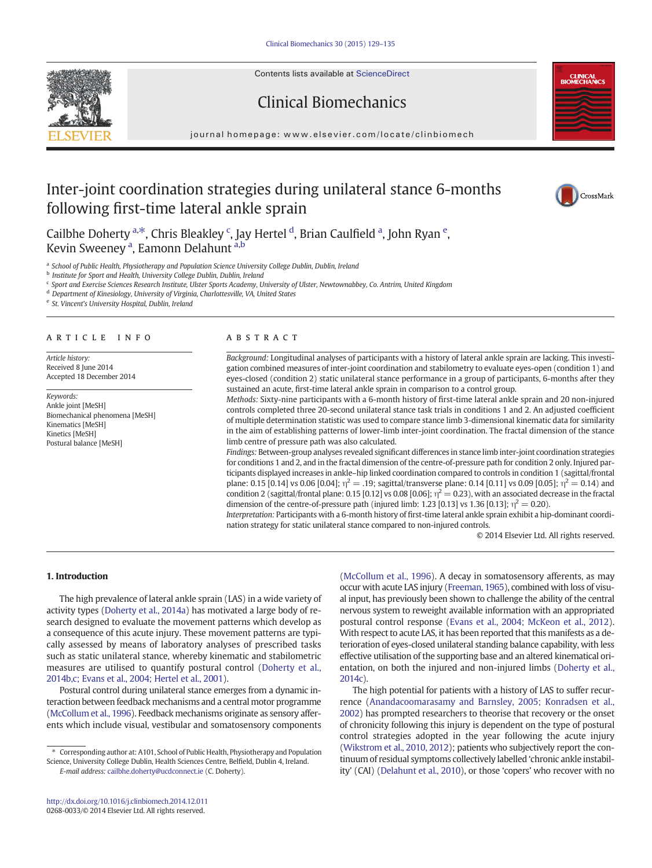Contents lists available at ScienceDirect





journal homepage: www.elsevier.com/locate/clinbiomech

# Inter-joint coordination strategies during unilateral stance 6-months following first-time lateral ankle sprain



**CLINICAL<br>BIOMECHANICS** 

Cailbhe Doherty <sup>a,\*</sup>, Chris Bleakley <sup>c</sup>, Jay Hertel <sup>d</sup>, Brian Caulfield <sup>a</sup>, John Ryan <sup>e</sup>, Kevin Sweeney <sup>a</sup>, Eamonn Delahunt <sup>a,b</sup>

a School of Public Health, Physiotherapy and Population Science University College Dublin, Dublin, Ireland

**b** Institute for Sport and Health, University College Dublin, Dublin, Ireland

<sup>c</sup> Sport and Exercise Sciences Research Institute, Ulster Sports Academy, University of Ulster, Newtownabbey, Co. Antrim, United Kingdom

<sup>d</sup> Department of Kinesiology, University of Virginia, Charlottesville, VA, United States

<sup>e</sup> St. Vincent's University Hospital, Dublin, Ireland

# article info abstract

Article history: Received 8 June 2014 Accepted 18 December 2014

Keywords: Ankle joint [MeSH] Biomechanical phenomena [MeSH] Kinematics [MeSH] Kinetics [MeSH] Postural balance [MeSH]

Background: Longitudinal analyses of participants with a history of lateral ankle sprain are lacking. This investigation combined measures of inter-joint coordination and stabilometry to evaluate eyes-open (condition 1) and eyes-closed (condition 2) static unilateral stance performance in a group of participants, 6-months after they sustained an acute, first-time lateral ankle sprain in comparison to a control group.

Methods: Sixty-nine participants with a 6-month history of first-time lateral ankle sprain and 20 non-injured controls completed three 20-second unilateral stance task trials in conditions 1 and 2. An adjusted coefficient of multiple determination statistic was used to compare stance limb 3-dimensional kinematic data for similarity in the aim of establishing patterns of lower-limb inter-joint coordination. The fractal dimension of the stance limb centre of pressure path was also calculated.

Findings: Between-group analyses revealed significant differences in stance limb inter-joint coordination strategies for conditions 1 and 2, and in the fractal dimension of the centre-of-pressure path for condition 2 only. Injured participants displayed increases in ankle–hip linked coordination compared to controls in condition 1 (sagittal/frontal plane: 0.15 [0.14] vs 0.06 [0.04];  $\eta^2 = 0.19$ ; sagittal/transverse plane: 0.14 [0.11] vs 0.09 [0.05];  $\eta^2 = 0.14$  and condition 2 (sagittal/frontal plane: 0.15 [0.12] vs 0.08 [0.06];  $\eta^2 = 0.23$ ), with an associated decrease in the fractal dimension of the centre-of-pressure path (injured limb: 1.23 [0.13] vs 1.36 [0.13];  $\eta^2 = 0.20$ ).

Interpretation: Participants with a 6-month history of first-time lateral ankle sprain exhibit a hip-dominant coordination strategy for static unilateral stance compared to non-injured controls.

© 2014 Elsevier Ltd. All rights reserved.

# 1. Introduction

The high prevalence of lateral ankle sprain (LAS) in a wide variety of activity types ([Doherty et al., 2014a\)](#page-5-0) has motivated a large body of research designed to evaluate the movement patterns which develop as a consequence of this acute injury. These movement patterns are typically assessed by means of laboratory analyses of prescribed tasks such as static unilateral stance, whereby kinematic and stabilometric measures are utilised to quantify postural control [\(Doherty et al.,](#page-5-0) [2014b,c; Evans et al., 2004; Hertel et al., 2001\)](#page-5-0).

Postural control during unilateral stance emerges from a dynamic interaction between feedback mechanisms and a central motor programme [\(McCollum et al., 1996\)](#page-6-0). Feedback mechanisms originate as sensory afferents which include visual, vestibular and somatosensory components [\(McCollum et al., 1996\)](#page-6-0). A decay in somatosensory afferents, as may occur with acute LAS injury [\(Freeman, 1965\)](#page-5-0), combined with loss of visual input, has previously been shown to challenge the ability of the central nervous system to reweight available information with an appropriated postural control response [\(Evans et al., 2004; McKeon et al., 2012](#page-5-0)). With respect to acute LAS, it has been reported that this manifests as a deterioration of eyes-closed unilateral standing balance capability, with less effective utilisation of the supporting base and an altered kinematical orientation, on both the injured and non-injured limbs ([Doherty et al.,](#page-5-0) [2014c](#page-5-0)).

The high potential for patients with a history of LAS to suffer recurrence ([Anandacoomarasamy and Barnsley, 2005; Konradsen et al.,](#page-5-0) [2002](#page-5-0)) has prompted researchers to theorise that recovery or the onset of chronicity following this injury is dependent on the type of postural control strategies adopted in the year following the acute injury [\(Wikstrom et al., 2010, 2012\)](#page-6-0); patients who subjectively report the continuum of residual symptoms collectively labelled 'chronic ankle instability' (CAI) ([Delahunt et al., 2010\)](#page-5-0), or those 'copers' who recover with no

<sup>⁎</sup> Corresponding author at: A101, School of Public Health, Physiotherapy and Population Science, University College Dublin, Health Sciences Centre, Belfield, Dublin 4, Ireland. E-mail address: [cailbhe.doherty@ucdconnect.ie](mailto:cailbhe.doherty@ucdconnect.ie) (C. Doherty).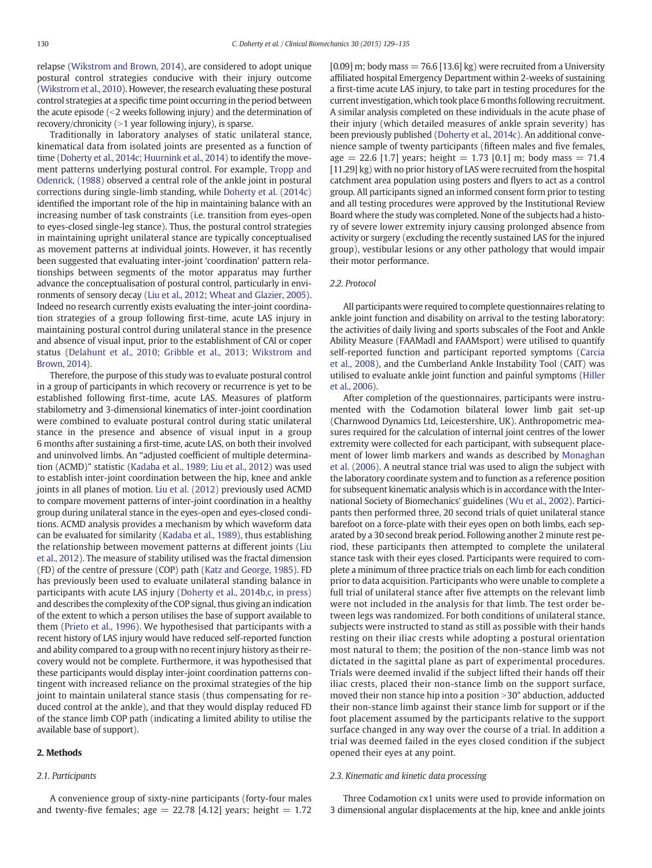relapse [\(Wikstrom and Brown, 2014\)](#page-6-0), are considered to adopt unique postural control strategies conducive with their injury outcome [\(Wikstrom et al., 2010](#page-6-0)). However, the research evaluating these postural control strategies at a specific time point occurring in the period between the acute episode  $\langle \langle 2 \rangle$  weeks following injury) and the determination of recovery/chronicity  $(>1$  year following injury), is sparse.

Traditionally in laboratory analyses of static unilateral stance, kinematical data from isolated joints are presented as a function of time [\(Doherty et al., 2014c; Huurnink et al., 2014](#page-5-0)) to identify the movement patterns underlying postural control. For example, [Tropp and](#page-6-0) [Odenrick, \(1988\)](#page-6-0) observed a central role of the ankle joint in postural corrections during single-limb standing, while [Doherty et al. \(2014c\)](#page-5-0) identified the important role of the hip in maintaining balance with an increasing number of task constraints (i.e. transition from eyes-open to eyes-closed single-leg stance). Thus, the postural control strategies in maintaining upright unilateral stance are typically conceptualised as movement patterns at individual joints. However, it has recently been suggested that evaluating inter-joint 'coordination' pattern relationships between segments of the motor apparatus may further advance the conceptualisation of postural control, particularly in environments of sensory decay [\(Liu et al., 2012; Wheat and Glazier, 2005\)](#page-6-0). Indeed no research currently exists evaluating the inter-joint coordination strategies of a group following first-time, acute LAS injury in maintaining postural control during unilateral stance in the presence and absence of visual input, prior to the establishment of CAI or coper status ([Delahunt et al., 2010; Gribble et al., 2013; Wikstrom and](#page-5-0) [Brown, 2014\)](#page-5-0).

Therefore, the purpose of this study was to evaluate postural control in a group of participants in which recovery or recurrence is yet to be established following first-time, acute LAS. Measures of platform stabilometry and 3-dimensional kinematics of inter-joint coordination were combined to evaluate postural control during static unilateral stance in the presence and absence of visual input in a group 6 months after sustaining a first-time, acute LAS, on both their involved and uninvolved limbs. An "adjusted coefficient of multiple determination (ACMD)" statistic ([Kadaba et al., 1989; Liu et al., 2012\)](#page-6-0) was used to establish inter-joint coordination between the hip, knee and ankle joints in all planes of motion. [Liu et al. \(2012\)](#page-6-0) previously used ACMD to compare movement patterns of inter-joint coordination in a healthy group during unilateral stance in the eyes-open and eyes-closed conditions. ACMD analysis provides a mechanism by which waveform data can be evaluated for similarity ([Kadaba et al., 1989](#page-6-0)), thus establishing the relationship between movement patterns at different joints ([Liu](#page-6-0) [et al., 2012\)](#page-6-0). The measure of stability utilised was the fractal dimension (FD) of the centre of pressure (COP) path [\(Katz and George, 1985\)](#page-6-0). FD has previously been used to evaluate unilateral standing balance in participants with acute LAS injury [\(Doherty et al., 2014b,c, in press](#page-5-0)) and describes the complexity of the COP signal, thus giving an indication of the extent to which a person utilises the base of support available to them [\(Prieto et al., 1996\)](#page-6-0). We hypothesised that participants with a recent history of LAS injury would have reduced self-reported function and ability compared to a group with no recent injury history as their recovery would not be complete. Furthermore, it was hypothesised that these participants would display inter-joint coordination patterns contingent with increased reliance on the proximal strategies of the hip joint to maintain unilateral stance stasis (thus compensating for reduced control at the ankle), and that they would display reduced FD of the stance limb COP path (indicating a limited ability to utilise the available base of support).

# 2. Methods

### 2.1. Participants

A convenience group of sixty-nine participants (forty-four males and twenty-five females; age  $= 22.78$  [4.12] years; height  $= 1.72$   $[0.09]$  m; body mass  $= 76.6$  [13.6] kg) were recruited from a University affiliated hospital Emergency Department within 2-weeks of sustaining a first-time acute LAS injury, to take part in testing procedures for the current investigation, which took place 6 months following recruitment. A similar analysis completed on these individuals in the acute phase of their injury (which detailed measures of ankle sprain severity) has been previously published [\(Doherty et al., 2014c](#page-5-0)). An additional convenience sample of twenty participants (fifteen males and five females, age = 22.6 [1.7] years; height = 1.73 [0.1] m; body mass = 71.4 [11.29] kg) with no prior history of LAS were recruited from the hospital catchment area population using posters and flyers to act as a control group. All participants signed an informed consent form prior to testing and all testing procedures were approved by the Institutional Review Board where the study was completed. None of the subjects had a history of severe lower extremity injury causing prolonged absence from activity or surgery (excluding the recently sustained LAS for the injured group), vestibular lesions or any other pathology that would impair their motor performance.

# 2.2. Protocol

All participants were required to complete questionnaires relating to ankle joint function and disability on arrival to the testing laboratory: the activities of daily living and sports subscales of the Foot and Ankle Ability Measure (FAAMadl and FAAMsport) were utilised to quantify self-reported function and participant reported symptoms [\(Carcia](#page-5-0) [et al., 2008\)](#page-5-0), and the Cumberland Ankle Instability Tool (CAIT) was utilised to evaluate ankle joint function and painful symptoms ([Hiller](#page-6-0) [et al., 2006](#page-6-0)).

After completion of the questionnaires, participants were instrumented with the Codamotion bilateral lower limb gait set-up (Charnwood Dynamics Ltd, Leicestershire, UK). Anthropometric measures required for the calculation of internal joint centres of the lower extremity were collected for each participant, with subsequent placement of lower limb markers and wands as described by [Monaghan](#page-6-0) [et al. \(2006\).](#page-6-0) A neutral stance trial was used to align the subject with the laboratory coordinate system and to function as a reference position for subsequent kinematic analysis which is in accordance with the International Society of Biomechanics' guidelines [\(Wu et al., 2002\)](#page-6-0). Participants then performed three, 20 second trials of quiet unilateral stance barefoot on a force-plate with their eyes open on both limbs, each separated by a 30 second break period. Following another 2 minute rest period, these participants then attempted to complete the unilateral stance task with their eyes closed. Participants were required to complete a minimum of three practice trials on each limb for each condition prior to data acquisition. Participants who were unable to complete a full trial of unilateral stance after five attempts on the relevant limb were not included in the analysis for that limb. The test order between legs was randomized. For both conditions of unilateral stance, subjects were instructed to stand as still as possible with their hands resting on their iliac crests while adopting a postural orientation most natural to them; the position of the non-stance limb was not dictated in the sagittal plane as part of experimental procedures. Trials were deemed invalid if the subject lifted their hands off their iliac crests, placed their non-stance limb on the support surface, moved their non stance hip into a position  $>$ 30 $^{\circ}$  abduction, adducted their non-stance limb against their stance limb for support or if the foot placement assumed by the participants relative to the support surface changed in any way over the course of a trial. In addition a trial was deemed failed in the eyes closed condition if the subject opened their eyes at any point.

# 2.3. Kinematic and kinetic data processing

Three Codamotion cx1 units were used to provide information on 3 dimensional angular displacements at the hip, knee and ankle joints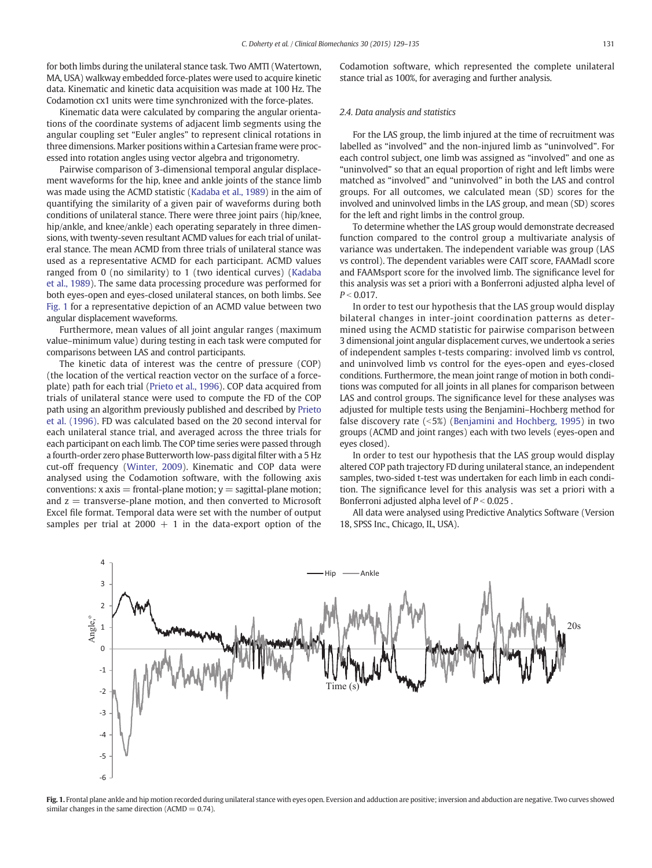for both limbs during the unilateral stance task. Two AMTI (Watertown, MA, USA) walkway embedded force-plates were used to acquire kinetic data. Kinematic and kinetic data acquisition was made at 100 Hz. The Codamotion cx1 units were time synchronized with the force-plates.

Kinematic data were calculated by comparing the angular orientations of the coordinate systems of adjacent limb segments using the angular coupling set "Euler angles" to represent clinical rotations in three dimensions. Marker positions within a Cartesian frame were processed into rotation angles using vector algebra and trigonometry.

Pairwise comparison of 3-dimensional temporal angular displacement waveforms for the hip, knee and ankle joints of the stance limb was made using the ACMD statistic ([Kadaba et al., 1989](#page-6-0)) in the aim of quantifying the similarity of a given pair of waveforms during both conditions of unilateral stance. There were three joint pairs (hip/knee, hip/ankle, and knee/ankle) each operating separately in three dimensions, with twenty-seven resultant ACMD values for each trial of unilateral stance. The mean ACMD from three trials of unilateral stance was used as a representative ACMD for each participant. ACMD values ranged from 0 (no similarity) to 1 (two identical curves) ([Kadaba](#page-6-0) [et al., 1989](#page-6-0)). The same data processing procedure was performed for both eyes-open and eyes-closed unilateral stances, on both limbs. See Fig. 1 for a representative depiction of an ACMD value between two angular displacement waveforms.

Furthermore, mean values of all joint angular ranges (maximum value–minimum value) during testing in each task were computed for comparisons between LAS and control participants.

The kinetic data of interest was the centre of pressure (COP) (the location of the vertical reaction vector on the surface of a forceplate) path for each trial ([Prieto et al., 1996](#page-6-0)). COP data acquired from trials of unilateral stance were used to compute the FD of the COP path using an algorithm previously published and described by [Prieto](#page-6-0) [et al. \(1996\).](#page-6-0) FD was calculated based on the 20 second interval for each unilateral stance trial, and averaged across the three trials for each participant on each limb. The COP time series were passed through a fourth-order zero phase Butterworth low-pass digital filter with a 5 Hz cut-off frequency ([Winter, 2009\)](#page-6-0). Kinematic and COP data were analysed using the Codamotion software, with the following axis conventions:  $x \text{ axis} = \text{frontal-plane motion}$ ;  $y = \text{ sagittal-plane motion}$ ; and  $z =$  transverse-plane motion, and then converted to Microsoft Excel file format. Temporal data were set with the number of output samples per trial at 2000  $+$  1 in the data-export option of the Codamotion software, which represented the complete unilateral stance trial as 100%, for averaging and further analysis.

# 2.4. Data analysis and statistics

For the LAS group, the limb injured at the time of recruitment was labelled as "involved" and the non-injured limb as "uninvolved". For each control subject, one limb was assigned as "involved" and one as "uninvolved" so that an equal proportion of right and left limbs were matched as "involved" and "uninvolved" in both the LAS and control groups. For all outcomes, we calculated mean (SD) scores for the involved and uninvolved limbs in the LAS group, and mean (SD) scores for the left and right limbs in the control group.

To determine whether the LAS group would demonstrate decreased function compared to the control group a multivariate analysis of variance was undertaken. The independent variable was group (LAS vs control). The dependent variables were CAIT score, FAAMadl score and FAAMsport score for the involved limb. The significance level for this analysis was set a priori with a Bonferroni adjusted alpha level of  $P < 0.017$ 

In order to test our hypothesis that the LAS group would display bilateral changes in inter-joint coordination patterns as determined using the ACMD statistic for pairwise comparison between 3 dimensional joint angular displacement curves, we undertook a series of independent samples t-tests comparing: involved limb vs control, and uninvolved limb vs control for the eyes-open and eyes-closed conditions. Furthermore, the mean joint range of motion in both conditions was computed for all joints in all planes for comparison between LAS and control groups. The significance level for these analyses was adjusted for multiple tests using the Benjamini–Hochberg method for false discovery rate  $(5%)$  ([Benjamini and Hochberg, 1995\)](#page-5-0) in two groups (ACMD and joint ranges) each with two levels (eyes-open and eyes closed).

In order to test our hypothesis that the LAS group would display altered COP path trajectory FD during unilateral stance, an independent samples, two-sided t-test was undertaken for each limb in each condition. The significance level for this analysis was set a priori with a Bonferroni adjusted alpha level of  $P < 0.025$ .

All data were analysed using Predictive Analytics Software (Version 18, SPSS Inc., Chicago, IL, USA).



Fig. 1. Frontal plane ankle and hip motion recorded during unilateral stance with eyes open. Eversion and adduction are positive; inversion and abduction are negative. Two curves showed similar changes in the same direction ( $ACMD = 0.74$ ).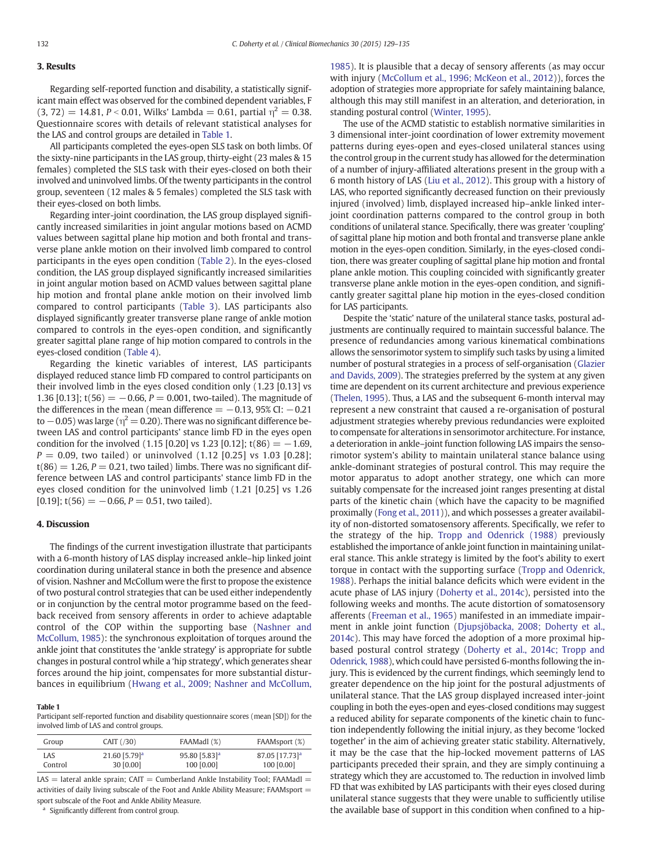# 3. Results

Regarding self-reported function and disability, a statistically significant main effect was observed for the combined dependent variables, F  $(3, 72) = 14.81, P < 0.01$ , Wilks' Lambda = 0.61, partial  $\eta^2 = 0.38$ . Questionnaire scores with details of relevant statistical analyses for the LAS and control groups are detailed in Table 1.

All participants completed the eyes-open SLS task on both limbs. Of the sixty-nine participants in the LAS group, thirty-eight (23 males & 15 females) completed the SLS task with their eyes-closed on both their involved and uninvolved limbs. Of the twenty participants in the control group, seventeen (12 males & 5 females) completed the SLS task with their eyes-closed on both limbs.

Regarding inter-joint coordination, the LAS group displayed significantly increased similarities in joint angular motions based on ACMD values between sagittal plane hip motion and both frontal and transverse plane ankle motion on their involved limb compared to control participants in the eyes open condition ([Table 2\)](#page-4-0). In the eyes-closed condition, the LAS group displayed significantly increased similarities in joint angular motion based on ACMD values between sagittal plane hip motion and frontal plane ankle motion on their involved limb compared to control participants ([Table 3\)](#page-4-0). LAS participants also displayed significantly greater transverse plane range of ankle motion compared to controls in the eyes-open condition, and significantly greater sagittal plane range of hip motion compared to controls in the eyes-closed condition [\(Table 4\)](#page-5-0).

Regarding the kinetic variables of interest, LAS participants displayed reduced stance limb FD compared to control participants on their involved limb in the eyes closed condition only (1.23 [0.13] vs 1.36 [0.13]; t(56) =  $-0.66$ , P = 0.001, two-tailed). The magnitude of the differences in the mean (mean difference =  $-0.13$ , 95% CI:  $-0.21$ to  $-0.05$ ) was large ( $\eta^2$  = 0.20). There was no significant difference between LAS and control participants' stance limb FD in the eyes open condition for the involved (1.15 [0.20] vs 1.23 [0.12]; t(86) =  $-1.69$ ,  $P = 0.09$ , two tailed) or uninvolved (1.12 [0.25] vs 1.03 [0.28];  $t(86) = 1.26$ ,  $P = 0.21$ , two tailed) limbs. There was no significant difference between LAS and control participants' stance limb FD in the eyes closed condition for the uninvolved limb (1.21 [0.25] vs 1.26  $[0.19]$ ; t(56) = -0.66, P = 0.51, two tailed).

#### 4. Discussion

The findings of the current investigation illustrate that participants with a 6-month history of LAS display increased ankle–hip linked joint coordination during unilateral stance in both the presence and absence of vision. Nashner and McCollum were the first to propose the existence of two postural control strategies that can be used either independently or in conjunction by the central motor programme based on the feedback received from sensory afferents in order to achieve adaptable control of the COP within the supporting base ([Nashner and](#page-6-0) [McCollum, 1985](#page-6-0)): the synchronous exploitation of torques around the ankle joint that constitutes the 'ankle strategy' is appropriate for subtle changes in postural control while a 'hip strategy', which generates shear forces around the hip joint, compensates for more substantial disturbances in equilibrium ([Hwang et al., 2009; Nashner and McCollum,](#page-6-0)

#### Table 1

Participant self-reported function and disability questionnaire scores (mean [SD]) for the involved limb of LAS and control groups.

| Group   | CAIT $(730)$                | FAAMadl (%)                 | FAAMsport (%)                |
|---------|-----------------------------|-----------------------------|------------------------------|
| LAS     | 21.60 $[5.79]$ <sup>a</sup> | 95.80 $[5.83]$ <sup>a</sup> | $87.05$ [17.73] <sup>a</sup> |
| Control | 30 [0.00]                   | 100 [0.00]                  | 100 [0.00]                   |

 $LAS =$  lateral ankle sprain;  $CAIT =$  Cumberland Ankle Instability Tool; FAAMadl = activities of daily living subscale of the Foot and Ankle Ability Measure; FAAMsport = sport subscale of the Foot and Ankle Ability Measure.

<sup>a</sup> Significantly different from control group.

[1985](#page-6-0)). It is plausible that a decay of sensory afferents (as may occur with injury ([McCollum et al., 1996; McKeon et al., 2012\)](#page-6-0)), forces the adoption of strategies more appropriate for safely maintaining balance, although this may still manifest in an alteration, and deterioration, in standing postural control ([Winter, 1995](#page-6-0)).

The use of the ACMD statistic to establish normative similarities in 3 dimensional inter-joint coordination of lower extremity movement patterns during eyes-open and eyes-closed unilateral stances using the control group in the current study has allowed for the determination of a number of injury-affiliated alterations present in the group with a 6 month history of LAS [\(Liu et al., 2012](#page-6-0)). This group with a history of LAS, who reported significantly decreased function on their previously injured (involved) limb, displayed increased hip–ankle linked interjoint coordination patterns compared to the control group in both conditions of unilateral stance. Specifically, there was greater 'coupling' of sagittal plane hip motion and both frontal and transverse plane ankle motion in the eyes-open condition. Similarly, in the eyes-closed condition, there was greater coupling of sagittal plane hip motion and frontal plane ankle motion. This coupling coincided with significantly greater transverse plane ankle motion in the eyes-open condition, and significantly greater sagittal plane hip motion in the eyes-closed condition for LAS participants.

Despite the 'static' nature of the unilateral stance tasks, postural adjustments are continually required to maintain successful balance. The presence of redundancies among various kinematical combinations allows the sensorimotor system to simplify such tasks by using a limited number of postural strategies in a process of self-organisation ([Glazier](#page-5-0) [and Davids, 2009](#page-5-0)). The strategies preferred by the system at any given time are dependent on its current architecture and previous experience [\(Thelen, 1995](#page-6-0)). Thus, a LAS and the subsequent 6-month interval may represent a new constraint that caused a re-organisation of postural adjustment strategies whereby previous redundancies were exploited to compensate for alterations in sensorimotor architecture. For instance, a deterioration in ankle–joint function following LAS impairs the sensorimotor system's ability to maintain unilateral stance balance using ankle-dominant strategies of postural control. This may require the motor apparatus to adopt another strategy, one which can more suitably compensate for the increased joint ranges presenting at distal parts of the kinetic chain (which have the capacity to be magnified proximally [\(Fong et al., 2011](#page-5-0))), and which possesses a greater availability of non-distorted somatosensory afferents. Specifically, we refer to the strategy of the hip. [Tropp and Odenrick \(1988\)](#page-6-0) previously established the importance of ankle joint function in maintaining unilateral stance. This ankle strategy is limited by the foot's ability to exert torque in contact with the supporting surface ([Tropp and Odenrick,](#page-6-0) [1988](#page-6-0)). Perhaps the initial balance deficits which were evident in the acute phase of LAS injury [\(Doherty et al., 2014c](#page-5-0)), persisted into the following weeks and months. The acute distortion of somatosensory afferents ([Freeman et al., 1965](#page-5-0)) manifested in an immediate impairment in ankle joint function [\(Djupsjöbacka, 2008; Doherty et al.,](#page-5-0) [2014c\)](#page-5-0). This may have forced the adoption of a more proximal hipbased postural control strategy [\(Doherty et al., 2014c; Tropp and](#page-5-0) [Odenrick, 1988\)](#page-5-0), which could have persisted 6-months following the injury. This is evidenced by the current findings, which seemingly lend to greater dependence on the hip joint for the postural adjustments of unilateral stance. That the LAS group displayed increased inter-joint coupling in both the eyes-open and eyes-closed conditions may suggest a reduced ability for separate components of the kinetic chain to function independently following the initial injury, as they become 'locked together' in the aim of achieving greater static stability. Alternatively, it may be the case that the hip-locked movement patterns of LAS participants preceded their sprain, and they are simply continuing a strategy which they are accustomed to. The reduction in involved limb FD that was exhibited by LAS participants with their eyes closed during unilateral stance suggests that they were unable to sufficiently utilise the available base of support in this condition when confined to a hip-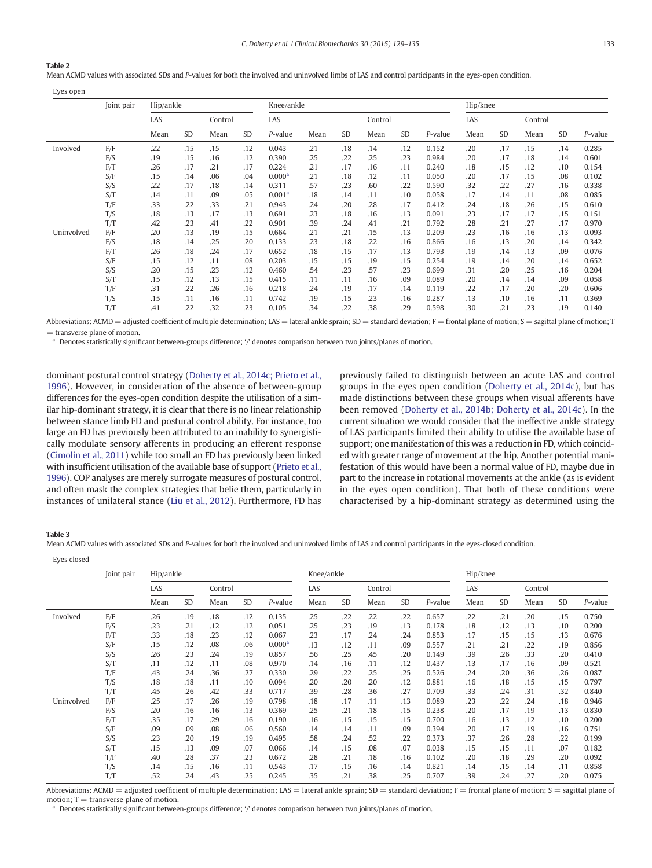# <span id="page-4-0"></span>Table 2

Mean ACMD values with associated SDs and P-values for both the involved and uninvolved limbs of LAS and control participants in the eyes-open condition.

| Eyes open  |            |           |         |      |     |                    |      |           |         |     |         |      |          |         |           |         |  |  |
|------------|------------|-----------|---------|------|-----|--------------------|------|-----------|---------|-----|---------|------|----------|---------|-----------|---------|--|--|
|            | Joint pair | Hip/ankle |         |      |     | Knee/ankle         |      |           |         |     |         |      | Hip/knee |         |           |         |  |  |
|            |            | LAS       | Control |      |     | LAS                |      |           | Control |     |         | LAS  |          | Control |           |         |  |  |
|            |            | Mean      | SD      | Mean | SD  | P-value            | Mean | <b>SD</b> | Mean    | SD  | P-value | Mean | SD       | Mean    | <b>SD</b> | P-value |  |  |
| Involved   | F/F        | .22       | .15     | .15  | .12 | 0.043              | .21  | .18       | .14     | .12 | 0.152   | .20  | .17      | .15     | .14       | 0.285   |  |  |
|            | F/S        | .19       | .15     | .16  | .12 | 0.390              | .25  | .22       | .25     | .23 | 0.984   | .20  | .17      | .18     | .14       | 0.601   |  |  |
|            | F/T        | .26       | .17     | .21  | .17 | 0.224              | .21  | .17       | .16     | .11 | 0.240   | .18  | .15      | .12     | .10       | 0.154   |  |  |
|            | S/F        | .15       | .14     | .06  | .04 | 0.000 <sup>a</sup> | .21  | .18       | .12     | .11 | 0.050   | .20  | .17      | .15     | .08       | 0.102   |  |  |
|            | S/S        | .22       | .17     | .18  | .14 | 0.311              | .57  | .23       | .60     | .22 | 0.590   | .32  | .22      | .27     | .16       | 0.338   |  |  |
|            | S/T        | .14       | .11     | .09  | .05 | 0.001 <sup>a</sup> | .18  | .14       | .11     | .10 | 0.058   | .17  | .14      | .11     | .08       | 0.085   |  |  |
|            | T/F        | .33       | .22     | .33  | .21 | 0.943              | .24  | .20       | .28     | .17 | 0.412   | .24  | .18      | .26     | .15       | 0.610   |  |  |
|            | T/S        | .18       | .13     | .17  | .13 | 0.691              | .23  | .18       | .16     | .13 | 0.091   | .23  | .17      | .17     | .15       | 0.151   |  |  |
|            | T/T        | .42       | .23     | .41  | .22 | 0.901              | .39  | .24       | .41     | .21 | 0.792   | .28  | .21      | .27     | .17       | 0.970   |  |  |
| Uninvolved | F/F        | .20       | .13     | .19  | .15 | 0.664              | .21  | .21       | .15     | .13 | 0.209   | .23  | .16      | .16     | .13       | 0.093   |  |  |
|            | F/S        | .18       | .14     | .25  | .20 | 0.133              | .23  | .18       | .22     | .16 | 0.866   | .16  | .13      | .20     | .14       | 0.342   |  |  |
|            | F/T        | .26       | .18     | .24  | .17 | 0.652              | .18  | .15       | .17     | .13 | 0.793   | .19  | .14      | .13     | .09       | 0.076   |  |  |
|            | S/F        | .15       | .12     | .11  | .08 | 0.203              | .15  | .15       | .19     | .15 | 0.254   | .19  | .14      | .20     | .14       | 0.652   |  |  |
|            | S/S        | .20       | .15     | .23  | .12 | 0.460              | .54  | .23       | .57     | .23 | 0.699   | .31  | .20      | .25     | .16       | 0.204   |  |  |
|            | S/T        | .15       | .12     | .13  | .15 | 0.415              | .11  | .11       | .16     | .09 | 0.089   | .20  | .14      | .14     | .09       | 0.058   |  |  |
|            | T/F        | .31       | .22     | .26  | .16 | 0.218              | .24  | .19       | .17     | .14 | 0.119   | .22  | .17      | .20     | .20       | 0.606   |  |  |
|            | T/S        | .15       | .11     | .16  | .11 | 0.742              | .19  | .15       | .23     | .16 | 0.287   | .13  | .10      | .16     | .11       | 0.369   |  |  |
|            | T/T        | .41       | .22     | .32  | .23 | 0.105              | .34  | .22       | .38     | .29 | 0.598   | .30  | .21      | .23     | .19       | 0.140   |  |  |

Abbreviations: ACMD = adjusted coefficient of multiple determination; LAS = lateral ankle sprain; SD = standard deviation; F = frontal plane of motion; S = sagittal plane of motion; T = transverse plane of motion.

<sup>a</sup> Denotes statistically significant between-groups difference; '/' denotes comparison between two joints/planes of motion.

dominant postural control strategy ([Doherty et al., 2014c; Prieto et al.,](#page-5-0) [1996\)](#page-5-0). However, in consideration of the absence of between-group differences for the eyes-open condition despite the utilisation of a similar hip-dominant strategy, it is clear that there is no linear relationship between stance limb FD and postural control ability. For instance, too large an FD has previously been attributed to an inability to synergistically modulate sensory afferents in producing an efferent response [\(Cimolin et al., 2011](#page-5-0)) while too small an FD has previously been linked with insufficient utilisation of the available base of support ([Prieto et al.,](#page-6-0) [1996](#page-6-0)). COP analyses are merely surrogate measures of postural control, and often mask the complex strategies that belie them, particularly in instances of unilateral stance ([Liu et al., 2012](#page-6-0)). Furthermore, FD has previously failed to distinguish between an acute LAS and control groups in the eyes open condition ([Doherty et al., 2014c](#page-5-0)), but has made distinctions between these groups when visual afferents have been removed ([Doherty et al., 2014b; Doherty et al., 2014c](#page-5-0)). In the current situation we would consider that the ineffective ankle strategy of LAS participants limited their ability to utilise the available base of support; one manifestation of this was a reduction in FD, which coincided with greater range of movement at the hip. Another potential manifestation of this would have been a normal value of FD, maybe due in part to the increase in rotational movements at the ankle (as is evident in the eyes open condition). That both of these conditions were characterised by a hip-dominant strategy as determined using the

#### Table 3

Mean ACMD values with associated SDs and P-values for both the involved and uninvolved limbs of LAS and control participants in the eyes-closed condition.

| Eyes closed |            |           |           |         |     |                    |      |            |         |           |         |      |           |          |           |            |  |  |  |
|-------------|------------|-----------|-----------|---------|-----|--------------------|------|------------|---------|-----------|---------|------|-----------|----------|-----------|------------|--|--|--|
|             | Joint pair | Hip/ankle |           |         |     |                    |      | Knee/ankle |         |           |         |      |           | Hip/knee |           |            |  |  |  |
|             |            | LAS       |           | Control |     |                    | LAS  |            | Control |           |         | LAS  |           | Control  |           |            |  |  |  |
|             |            | Mean      | <b>SD</b> | Mean    | SD  | P-value            | Mean | <b>SD</b>  | Mean    | <b>SD</b> | P-value | Mean | <b>SD</b> | Mean     | <b>SD</b> | $P$ -value |  |  |  |
| Involved    | F/F        | .26       | .19       | .18     | .12 | 0.135              | .25  | .22        | .22     | .22       | 0.657   | .22  | .21       | .20      | .15       | 0.750      |  |  |  |
|             | F/S        | .23       | .21       | .12     | .12 | 0.051              | .25  | .23        | .19     | .13       | 0.178   | .18  | .12       | .13      | .10       | 0.200      |  |  |  |
|             | F/T        | .33       | .18       | .23     | .12 | 0.067              | .23  | .17        | .24     | .24       | 0.853   | .17  | .15       | .15      | .13       | 0.676      |  |  |  |
|             | S/F        | .15       | .12       | .08     | .06 | 0.000 <sup>a</sup> | .13  | .12        | .11     | .09       | 0.557   | .21  | .21       | .22      | .19       | 0.856      |  |  |  |
|             | S/S        | .26       | .23       | .24     | .19 | 0.857              | .56  | .25        | .45     | .20       | 0.149   | .39  | .26       | .33      | .20       | 0.410      |  |  |  |
|             | S/T        | .11       | .12       | .11     | .08 | 0.970              | .14  | .16        | .11     | .12       | 0.437   | .13  | .17       | .16      | .09       | 0.521      |  |  |  |
|             | T/F        | .43       | .24       | .36     | .27 | 0.330              | .29  | .22        | .25     | .25       | 0.526   | .24  | .20       | .36      | .26       | 0.087      |  |  |  |
|             | T/S        | .18       | .18       | .11     | .10 | 0.094              | .20  | .20        | .20     | .12       | 0.881   | .16  | .18       | .15      | .15       | 0.797      |  |  |  |
|             | T/T        | .45       | .26       | .42     | .33 | 0.717              | .39  | .28        | .36     | .27       | 0.709   | .33  | .24       | .31      | .32       | 0.840      |  |  |  |
| Uninvolved  | F/F        | .25       | .17       | .26     | .19 | 0.798              | .18  | .17        | .11     | .13       | 0.089   | .23  | .22       | .24      | .18       | 0.946      |  |  |  |
|             | F/S        | .20       | .16       | .16     | .13 | 0.369              | .25  | .21        | .18     | .15       | 0.238   | .20  | .17       | .19      | .13       | 0.830      |  |  |  |
|             | F/T        | .35       | .17       | .29     | .16 | 0.190              | .16  | .15        | .15     | .15       | 0.700   | .16  | .13       | .12      | .10       | 0.200      |  |  |  |
|             | S/F        | .09       | .09       | .08     | .06 | 0.560              | .14  | .14        | .11     | .09       | 0.394   | .20  | .17       | .19      | .16       | 0.751      |  |  |  |
|             | S/S        | .23       | .20       | .19     | .19 | 0.495              | .58  | .24        | .52     | .22       | 0.373   | .37  | .26       | .28      | .22       | 0.199      |  |  |  |
|             | S/T        | .15       | .13       | .09     | .07 | 0.066              | .14  | .15        | .08     | .07       | 0.038   | .15  | .15       | .11      | .07       | 0.182      |  |  |  |
|             | T/F        | .40       | .28       | .37     | .23 | 0.672              | .28  | .21        | .18     | .16       | 0.102   | .20  | .18       | .29      | .20       | 0.092      |  |  |  |
|             | T/S        | .14       | .15       | .16     | .11 | 0.543              | .17  | .15        | .16     | .14       | 0.821   | .14  | .15       | .14      | .11       | 0.858      |  |  |  |
|             | T/T        | .52       | .24       | .43     | .25 | 0.245              | .35  | .21        | .38     | .25       | 0.707   | .39  | .24       | .27      | .20       | 0.075      |  |  |  |

Abbreviations: ACMD = adjusted coefficient of multiple determination; LAS = lateral ankle sprain; SD = standard deviation; F = frontal plane of motion; S = sagittal plane of motion:  $T =$  transverse plane of motion.

<sup>a</sup> Denotes statistically significant between-groups difference; '/' denotes comparison between two joints/planes of motion.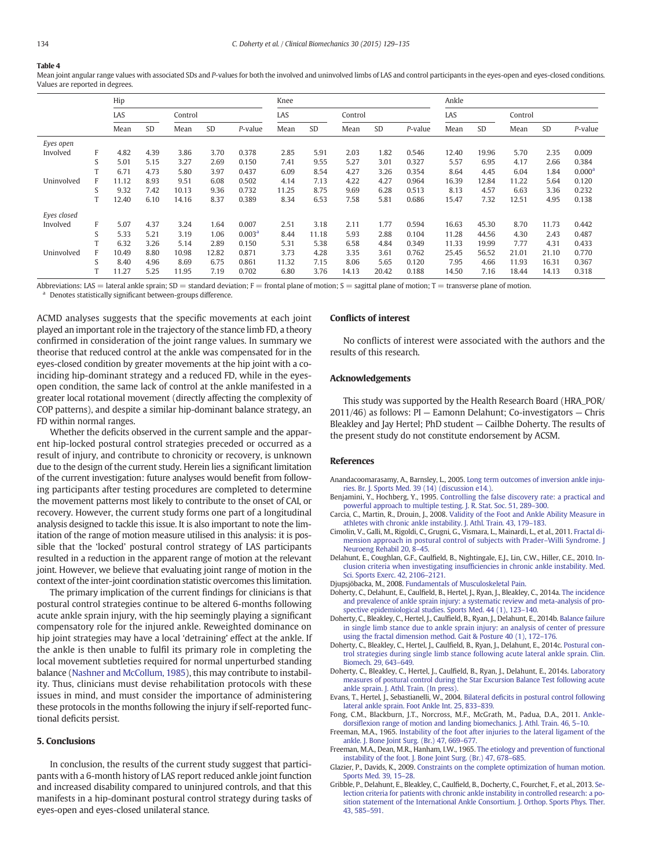# <span id="page-5-0"></span>Table 4

Mean joint angular range values with associated SDs and P-values for both the involved and uninvolved limbs of LAS and control participants in the eyes-open and eyes-closed conditions. Values are reported in degrees.

|             |   | Hip   |           |         |           |                    |       |           |         |           |         | Ankle |           |         |           |                    |  |  |
|-------------|---|-------|-----------|---------|-----------|--------------------|-------|-----------|---------|-----------|---------|-------|-----------|---------|-----------|--------------------|--|--|
|             |   | LAS   |           | Control |           |                    | LAS   |           | Control |           |         | LAS   |           | Control |           |                    |  |  |
|             |   | Mean  | <b>SD</b> | Mean    | <b>SD</b> | P-value            | Mean  | <b>SD</b> | Mean    | <b>SD</b> | P-value | Mean  | <b>SD</b> | Mean    | <b>SD</b> | P-value            |  |  |
| Eyes open   |   |       |           |         |           |                    |       |           |         |           |         |       |           |         |           |                    |  |  |
| Involved    | F | 4.82  | 4.39      | 3.86    | 3.70      | 0.378              | 2.85  | 5.91      | 2.03    | 1.82      | 0.546   | 12.40 | 19.96     | 5.70    | 2.35      | 0.009              |  |  |
|             | S | 5.01  | 5.15      | 3.27    | 2.69      | 0.150              | 7.41  | 9.55      | 5.27    | 3.01      | 0.327   | 5.57  | 6.95      | 4.17    | 2.66      | 0.384              |  |  |
|             |   | 6.71  | 4.73      | 5.80    | 3.97      | 0.437              | 6.09  | 8.54      | 4.27    | 3.26      | 0.354   | 8.64  | 4.45      | 6.04    | 1.84      | 0.000 <sup>a</sup> |  |  |
| Uninvolved  |   | 11.12 | 8.93      | 9.51    | 6.08      | 0.502              | 4.14  | 7.13      | 4.22    | 4.27      | 0.964   | 16.39 | 12.84     | 11.22   | 5.64      | 0.120              |  |  |
|             | S | 9.32  | 7.42      | 10.13   | 9.36      | 0.732              | 11.25 | 8.75      | 9.69    | 6.28      | 0.513   | 8.13  | 4.57      | 6.63    | 3.36      | 0.232              |  |  |
|             |   | 12.40 | 6.10      | 14.16   | 8.37      | 0.389              | 8.34  | 6.53      | 7.58    | 5.81      | 0.686   | 15.47 | 7.32      | 12.51   | 4.95      | 0.138              |  |  |
| Eyes closed |   |       |           |         |           |                    |       |           |         |           |         |       |           |         |           |                    |  |  |
| Involved    | F | 5.07  | 4.37      | 3.24    | 1.64      | 0.007              | 2.51  | 3.18      | 2.11    | 1.77      | 0.594   | 16.63 | 45.30     | 8.70    | 11.73     | 0.442              |  |  |
|             | S | 5.33  | 5.21      | 3.19    | 1.06      | 0.003 <sup>a</sup> | 8.44  | 11.18     | 5.93    | 2.88      | 0.104   | 11.28 | 44.56     | 4.30    | 2.43      | 0.487              |  |  |
|             |   | 6.32  | 3.26      | 5.14    | 2.89      | 0.150              | 5.31  | 5.38      | 6.58    | 4.84      | 0.349   | 11.33 | 19.99     | 7.77    | 4.31      | 0.433              |  |  |
| Uninvolved  |   | 10.49 | 8.80      | 10.98   | 12.82     | 0.871              | 3.73  | 4.28      | 3.35    | 3.61      | 0.762   | 25.45 | 56.52     | 21.01   | 21.10     | 0.770              |  |  |
|             | S | 8.40  | 4.96      | 8.69    | 6.75      | 0.861              | 11.32 | 7.15      | 8.06    | 5.65      | 0.120   | 7.95  | 4.66      | 11.93   | 16.31     | 0.367              |  |  |
|             |   | 11.27 | 5.25      | 11.95   | 7.19      | 0.702              | 6.80  | 3.76      | 14.13   | 20.42     | 0.188   | 14.50 | 7.16      | 18.44   | 14.13     | 0.318              |  |  |

Abbreviations: LAS = lateral ankle sprain; SD = standard deviation; F = frontal plane of motion; S = sagittal plane of motion; T = transverse plane of motion.

<sup>a</sup> Denotes statistically significant between-groups difference.

ACMD analyses suggests that the specific movements at each joint played an important role in the trajectory of the stance limb FD, a theory confirmed in consideration of the joint range values. In summary we theorise that reduced control at the ankle was compensated for in the eyes-closed condition by greater movements at the hip joint with a coinciding hip-dominant strategy and a reduced FD, while in the eyesopen condition, the same lack of control at the ankle manifested in a greater local rotational movement (directly affecting the complexity of COP patterns), and despite a similar hip-dominant balance strategy, an FD within normal ranges.

Whether the deficits observed in the current sample and the apparent hip-locked postural control strategies preceded or occurred as a result of injury, and contribute to chronicity or recovery, is unknown due to the design of the current study. Herein lies a significant limitation of the current investigation: future analyses would benefit from following participants after testing procedures are completed to determine the movement patterns most likely to contribute to the onset of CAI, or recovery. However, the current study forms one part of a longitudinal analysis designed to tackle this issue. It is also important to note the limitation of the range of motion measure utilised in this analysis: it is possible that the 'locked' postural control strategy of LAS participants resulted in a reduction in the apparent range of motion at the relevant joint. However, we believe that evaluating joint range of motion in the context of the inter-joint coordination statistic overcomes this limitation.

The primary implication of the current findings for clinicians is that postural control strategies continue to be altered 6-months following acute ankle sprain injury, with the hip seemingly playing a significant compensatory role for the injured ankle. Reweighted dominance on hip joint strategies may have a local 'detraining' effect at the ankle. If the ankle is then unable to fulfil its primary role in completing the local movement subtleties required for normal unperturbed standing balance ([Nashner and McCollum, 1985\)](#page-6-0), this may contribute to instability. Thus, clinicians must devise rehabilitation protocols with these issues in mind, and must consider the importance of administering these protocols in the months following the injury if self-reported functional deficits persist.

# 5. Conclusions

In conclusion, the results of the current study suggest that participants with a 6-month history of LAS report reduced ankle joint function and increased disability compared to uninjured controls, and that this manifests in a hip-dominant postural control strategy during tasks of eyes-open and eyes-closed unilateral stance.

#### Conflicts of interest

No conflicts of interest were associated with the authors and the results of this research.

#### Acknowledgements

This study was supported by the Health Research Board (HRA\_POR/ 2011/46) as follows: PI — Eamonn Delahunt; Co-investigators — Chris Bleakley and Jay Hertel; PhD student — Cailbhe Doherty. The results of the present study do not constitute endorsement by ACSM.

# References

- Anandacoomarasamy, A., Barnsley, L., 2005. [Long term outcomes of inversion ankle inju](http://refhub.elsevier.com/S0268-0033(14)00306-4/rf0165)[ries. Br. J. Sports Med. 39 \(14\) \(discussion e14.\)](http://refhub.elsevier.com/S0268-0033(14)00306-4/rf0165).
- Benjamini, Y., Hochberg, Y., 1995. [Controlling the false discovery rate: a practical and](http://refhub.elsevier.com/S0268-0033(14)00306-4/rf0115) [powerful approach to multiple testing. J. R. Stat. Soc. 51, 289](http://refhub.elsevier.com/S0268-0033(14)00306-4/rf0115)–300.
- Carcia, C., Martin, R., Drouin, J., 2008. [Validity of the Foot and Ankle Ability Measure in](http://refhub.elsevier.com/S0268-0033(14)00306-4/rf0095) [athletes with chronic ankle instability. J. Athl. Train. 43, 179](http://refhub.elsevier.com/S0268-0033(14)00306-4/rf0095)–183.
- Cimolin, V., Galli, M., Rigoldi, C., Grugni, G., Vismara, L., Mainardi, L., et al., 2011. [Fractal di](http://refhub.elsevier.com/S0268-0033(14)00306-4/rf0160)[mension approach in postural control of subjects with Prader](http://refhub.elsevier.com/S0268-0033(14)00306-4/rf0160)–Willi Syndrome. J [Neuroeng Rehabil 20, 8](http://refhub.elsevier.com/S0268-0033(14)00306-4/rf0160)–45.
- Delahunt, E., Coughlan, G.F., Caulfield, B., Nightingale, E.J., Lin, C.W., Hiller, C.E., 2010. [In](http://refhub.elsevier.com/S0268-0033(14)00306-4/rf0055)clusion criteria when investigating insuffi[ciencies in chronic ankle instability. Med.](http://refhub.elsevier.com/S0268-0033(14)00306-4/rf0055) [Sci. Sports Exerc. 42, 2106](http://refhub.elsevier.com/S0268-0033(14)00306-4/rf0055)–2121.
- Djupsjöbacka, M., 2008. [Fundamentals of Musculoskeletal Pain.](http://refhub.elsevier.com/S0268-0033(14)00306-4/rf0155)
- Doherty, C., Delahunt, E., Caulfield, B., Hertel, J., Ryan, J., Bleakley, C., 2014a. [The incidence](http://refhub.elsevier.com/S0268-0033(14)00306-4/rf0005) [and prevalence of ankle sprain injury: a systematic review and meta-analysis of pro](http://refhub.elsevier.com/S0268-0033(14)00306-4/rf0005)[spective epidemiological studies. Sports Med. 44 \(1\), 123](http://refhub.elsevier.com/S0268-0033(14)00306-4/rf0005)–140.
- Doherty, C., Bleakley, C., Hertel, J., Caulfield, B., Ryan, J., Delahunt, E., 2014b. [Balance failure](http://refhub.elsevier.com/S0268-0033(14)00306-4/rf0170) [in single limb stance due to ankle sprain injury: an analysis of center of pressure](http://refhub.elsevier.com/S0268-0033(14)00306-4/rf0170) [using the fractal dimension method. Gait & Posture 40 \(1\), 172](http://refhub.elsevier.com/S0268-0033(14)00306-4/rf0170)–176.
- Doherty, C., Bleakley, C., Hertel, J., Caulfield, B., Ryan, J., Delahunt, E., 2014c. [Postural con](http://refhub.elsevier.com/S0268-0033(14)00306-4/rf0010)[trol strategies during single limb stance following acute lateral ankle sprain. Clin.](http://refhub.elsevier.com/S0268-0033(14)00306-4/rf0010) [Biomech. 29, 643](http://refhub.elsevier.com/S0268-0033(14)00306-4/rf0010)–649.
- Doherty, C., Bleakley, C., Hertel, J., Caulfield, B., Ryan, J., Delahunt, E., 2014s. [Laboratory](http://refhub.elsevier.com/S0268-0033(14)00306-4/rf0175) [measures of postural control during the Star Excursion Balance Test following acute](http://refhub.elsevier.com/S0268-0033(14)00306-4/rf0175) [ankle sprain. J. Athl. Train. \(In press\).](http://refhub.elsevier.com/S0268-0033(14)00306-4/rf0175)
- Evans, T., Hertel, J., Sebastianelli, W., 2004. Bilateral defi[cits in postural control following](http://refhub.elsevier.com/S0268-0033(14)00306-4/rf0015) [lateral ankle sprain. Foot Ankle Int. 25, 833](http://refhub.elsevier.com/S0268-0033(14)00306-4/rf0015)–839.
- Fong, C.M., Blackburn, J.T., Norcross, M.F., McGrath, M., Padua, D.A., 2011. [Ankle](http://refhub.elsevier.com/S0268-0033(14)00306-4/rf0145)dorsifl[exion range of motion and landing biomechanics. J. Athl. Train. 46, 5](http://refhub.elsevier.com/S0268-0033(14)00306-4/rf0145)–10.
- Freeman, M.A., 1965. [Instability of the foot after injuries to the lateral ligament of the](http://refhub.elsevier.com/S0268-0033(14)00306-4/rf0030) [ankle. J. Bone Joint Surg. \(Br.\) 47, 669](http://refhub.elsevier.com/S0268-0033(14)00306-4/rf0030)–677.
- Freeman, M.A., Dean, M.R., Hanham, I.W., 1965. [The etiology and prevention of functional](http://refhub.elsevier.com/S0268-0033(14)00306-4/rf0150) [instability of the foot. J. Bone Joint Surg. \(Br.\) 47, 678](http://refhub.elsevier.com/S0268-0033(14)00306-4/rf0150)–685.
- Glazier, P., Davids, K., 2009. [Constraints on the complete optimization of human motion.](http://refhub.elsevier.com/S0268-0033(14)00306-4/rf0135) [Sports Med. 39, 15](http://refhub.elsevier.com/S0268-0033(14)00306-4/rf0135)–28.
- Gribble, P., Delahunt, E., Bleakley, C., Caulfield, B., Docherty, C., Fourchet, F., et al., 2013. [Se](http://refhub.elsevier.com/S0268-0033(14)00306-4/rf0080)[lection criteria for patients with chronic ankle instability in controlled research: a po](http://refhub.elsevier.com/S0268-0033(14)00306-4/rf0080)[sition statement of the International Ankle Consortium. J. Orthop. Sports Phys. Ther.](http://refhub.elsevier.com/S0268-0033(14)00306-4/rf0080) [43, 585](http://refhub.elsevier.com/S0268-0033(14)00306-4/rf0080)–591.